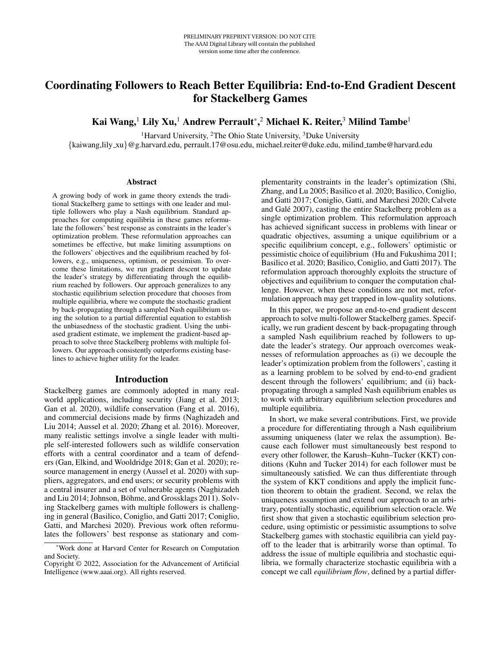# Coordinating Followers to Reach Better Equilibria: End-to-End Gradient Descent for Stackelberg Games

Kai Wang, $^1$  Lily Xu, $^1$  Andrew Perrault $^*\!\!$ , $^2$  Michael K. Reiter, $^3$  Milind Tambe $^1$ 

<sup>1</sup>Harvard University, <sup>2</sup>The Ohio State University, <sup>3</sup>Duke University

{kaiwang,lily xu}@g.harvard.edu, perrault.17@osu.edu, michael.reiter@duke.edu, milind tambe@harvard.edu

#### Abstract

A growing body of work in game theory extends the traditional Stackelberg game to settings with one leader and multiple followers who play a Nash equilibrium. Standard approaches for computing equilibria in these games reformulate the followers' best response as constraints in the leader's optimization problem. These reformulation approaches can sometimes be effective, but make limiting assumptions on the followers' objectives and the equilibrium reached by followers, e.g., uniqueness, optimism, or pessimism. To overcome these limitations, we run gradient descent to update the leader's strategy by differentiating through the equilibrium reached by followers. Our approach generalizes to any stochastic equilibrium selection procedure that chooses from multiple equilibria, where we compute the stochastic gradient by back-propagating through a sampled Nash equilibrium using the solution to a partial differential equation to establish the unbiasedness of the stochastic gradient. Using the unbiased gradient estimate, we implement the gradient-based approach to solve three Stackelberg problems with multiple followers. Our approach consistently outperforms existing baselines to achieve higher utility for the leader.

#### Introduction

Stackelberg games are commonly adopted in many realworld applications, including security (Jiang et al. 2013; Gan et al. 2020), wildlife conservation (Fang et al. 2016), and commercial decisions made by firms (Naghizadeh and Liu 2014; Aussel et al. 2020; Zhang et al. 2016). Moreover, many realistic settings involve a single leader with multiple self-interested followers such as wildlife conservation efforts with a central coordinator and a team of defenders (Gan, Elkind, and Wooldridge 2018; Gan et al. 2020); resource management in energy (Aussel et al. 2020) with suppliers, aggregators, and end users; or security problems with a central insurer and a set of vulnerable agents (Naghizadeh and Liu 2014; Johnson, Böhme, and Grossklags 2011). Solving Stackelberg games with multiple followers is challenging in general (Basilico, Coniglio, and Gatti 2017; Coniglio, Gatti, and Marchesi 2020). Previous work often reformulates the followers' best response as stationary and com-

plementarity constraints in the leader's optimization (Shi, Zhang, and Lu 2005; Basilico et al. 2020; Basilico, Coniglio, and Gatti 2017; Coniglio, Gatti, and Marchesi 2020; Calvete and Galé 2007), casting the entire Stackelberg problem as a single optimization problem. This reformulation approach has achieved significant success in problems with linear or quadratic objectives, assuming a unique equilibrium or a specific equilibrium concept, e.g., followers' optimistic or pessimistic choice of equilibrium (Hu and Fukushima 2011; Basilico et al. 2020; Basilico, Coniglio, and Gatti 2017). The reformulation approach thoroughly exploits the structure of objectives and equilibrium to conquer the computation challenge. However, when these conditions are not met, reformulation approach may get trapped in low-quality solutions.

In this paper, we propose an end-to-end gradient descent approach to solve multi-follower Stackelberg games. Specifically, we run gradient descent by back-propagating through a sampled Nash equilibrium reached by followers to update the leader's strategy. Our approach overcomes weaknesses of reformulation approaches as (i) we decouple the leader's optimization problem from the followers', casting it as a learning problem to be solved by end-to-end gradient descent through the followers' equilibrium; and (ii) backpropagating through a sampled Nash equilibrium enables us to work with arbitrary equilibrium selection procedures and multiple equilibria.

In short, we make several contributions. First, we provide a procedure for differentiating through a Nash equilibrium assuming uniqueness (later we relax the assumption). Because each follower must simultaneously best respond to every other follower, the Karush–Kuhn–Tucker (KKT) conditions (Kuhn and Tucker 2014) for each follower must be simultaneously satisfied. We can thus differentiate through the system of KKT conditions and apply the implicit function theorem to obtain the gradient. Second, we relax the uniqueness assumption and extend our approach to an arbitrary, potentially stochastic, equilibrium selection oracle. We first show that given a stochastic equilibrium selection procedure, using optimistic or pessimistic assumptions to solve Stackelberg games with stochastic equilibria can yield payoff to the leader that is arbitrarily worse than optimal. To address the issue of multiple equilibria and stochastic equilibria, we formally characterize stochastic equilibria with a concept we call *equilibrium flow*, defined by a partial differ-

<sup>\*</sup>Work done at Harvard Center for Research on Computation and Society.

Copyright © 2022, Association for the Advancement of Artificial Intelligence (www.aaai.org). All rights reserved.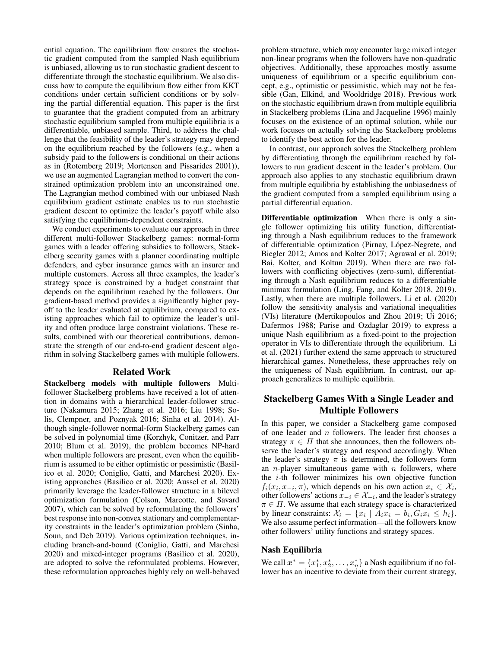ential equation. The equilibrium flow ensures the stochastic gradient computed from the sampled Nash equilibrium is unbiased, allowing us to run stochastic gradient descent to differentiate through the stochastic equilibrium. We also discuss how to compute the equilibrium flow either from KKT conditions under certain sufficient conditions or by solving the partial differential equation. This paper is the first to guarantee that the gradient computed from an arbitrary stochastic equilibrium sampled from multiple equilibria is a differentiable, unbiased sample. Third, to address the challenge that the feasibility of the leader's strategy may depend on the equilibrium reached by the followers (e.g., when a subsidy paid to the followers is conditional on their actions as in (Rotemberg 2019; Mortensen and Pissarides 2001)), we use an augmented Lagrangian method to convert the constrained optimization problem into an unconstrained one. The Lagrangian method combined with our unbiased Nash equilibrium gradient estimate enables us to run stochastic gradient descent to optimize the leader's payoff while also satisfying the equilibrium-dependent constraints.

We conduct experiments to evaluate our approach in three different multi-follower Stackelberg games: normal-form games with a leader offering subsidies to followers, Stackelberg security games with a planner coordinating multiple defenders, and cyber insurance games with an insurer and multiple customers. Across all three examples, the leader's strategy space is constrained by a budget constraint that depends on the equilibrium reached by the followers. Our gradient-based method provides a significantly higher payoff to the leader evaluated at equilibrium, compared to existing approaches which fail to optimize the leader's utility and often produce large constraint violations. These results, combined with our theoretical contributions, demonstrate the strength of our end-to-end gradient descent algorithm in solving Stackelberg games with multiple followers.

#### Related Work

Stackelberg models with multiple followers Multifollower Stackelberg problems have received a lot of attention in domains with a hierarchical leader-follower structure (Nakamura 2015; Zhang et al. 2016; Liu 1998; Solis, Clempner, and Poznyak 2016; Sinha et al. 2014). Although single-follower normal-form Stackelberg games can be solved in polynomial time (Korzhyk, Conitzer, and Parr 2010; Blum et al. 2019), the problem becomes NP-hard when multiple followers are present, even when the equilibrium is assumed to be either optimistic or pessimistic (Basilico et al. 2020; Coniglio, Gatti, and Marchesi 2020). Existing approaches (Basilico et al. 2020; Aussel et al. 2020) primarily leverage the leader-follower structure in a bilevel optimization formulation (Colson, Marcotte, and Savard 2007), which can be solved by reformulating the followers' best response into non-convex stationary and complementarity constraints in the leader's optimization problem (Sinha, Soun, and Deb 2019). Various optimization techniques, including branch-and-bound (Coniglio, Gatti, and Marchesi 2020) and mixed-integer programs (Basilico et al. 2020), are adopted to solve the reformulated problems. However, these reformulation approaches highly rely on well-behaved

problem structure, which may encounter large mixed integer non-linear programs when the followers have non-quadratic objectives. Additionally, these approaches mostly assume uniqueness of equilibrium or a specific equilibrium concept, e.g., optimistic or pessimistic, which may not be feasible (Gan, Elkind, and Wooldridge 2018). Previous work on the stochastic equilibrium drawn from multiple equilibria in Stackelberg problems (Lina and Jacqueline 1996) mainly focuses on the existence of an optimal solution, while our work focuses on actually solving the Stackelberg problems to identify the best action for the leader.

In contrast, our approach solves the Stackelberg problem by differentiating through the equilibrium reached by followers to run gradient descent in the leader's problem. Our approach also applies to any stochastic equilibrium drawn from multiple equilibria by establishing the unbiasedness of the gradient computed from a sampled equilibrium using a partial differential equation.

Differentiable optimization When there is only a single follower optimizing his utility function, differentiating through a Nash equilibrium reduces to the framework of differentiable optimization (Pirnay, López-Negrete, and Biegler 2012; Amos and Kolter 2017; Agrawal et al. 2019; Bai, Kolter, and Koltun 2019). When there are two followers with conflicting objectives (zero-sum), differentiating through a Nash equilibrium reduces to a differentiable minimax formulation (Ling, Fang, and Kolter 2018, 2019). Lastly, when there are multiple followers, Li et al. (2020) follow the sensitivity analysis and variational inequalities (VIs) literature (Mertikopoulos and Zhou 2019; Ui 2016; Dafermos 1988; Parise and Ozdaglar 2019) to express a unique Nash equilibrium as a fixed-point to the projection operator in VIs to differentiate through the equilibrium. Li et al. (2021) further extend the same approach to structured hierarchical games. Nonetheless, these approaches rely on the uniqueness of Nash equilibrium. In contrast, our approach generalizes to multiple equilibria.

## Stackelberg Games With a Single Leader and Multiple Followers

In this paper, we consider a Stackelberg game composed of one leader and  $n$  followers. The leader first chooses a strategy  $\pi \in \Pi$  that she announces, then the followers observe the leader's strategy and respond accordingly. When the leader's strategy  $\pi$  is determined, the followers form an *n*-player simultaneous game with *n* followers, where the  $i$ -th follower minimizes his own objective function  $f_i(x_i, x_{-i}, \pi)$ , which depends on his own action  $x_i \in \mathcal{X}_i$ , other followers' actions  $x_{-i} \in \mathcal{X}_{-i}$ , and the leader's strategy  $\pi \in \Pi$ . We assume that each strategy space is characterized by linear constraints:  $\mathcal{X}_i = \{x_i \mid A_i x_i = b_i, G_i x_i \leq h_i\}.$ We also assume perfect information—all the followers know other followers' utility functions and strategy spaces.

## Nash Equilibria

We call  $\mathbf{x}^* = \{x_1^*, x_2^*, \dots, x_n^*\}$  a Nash equilibrium if no follower has an incentive to deviate from their current strategy,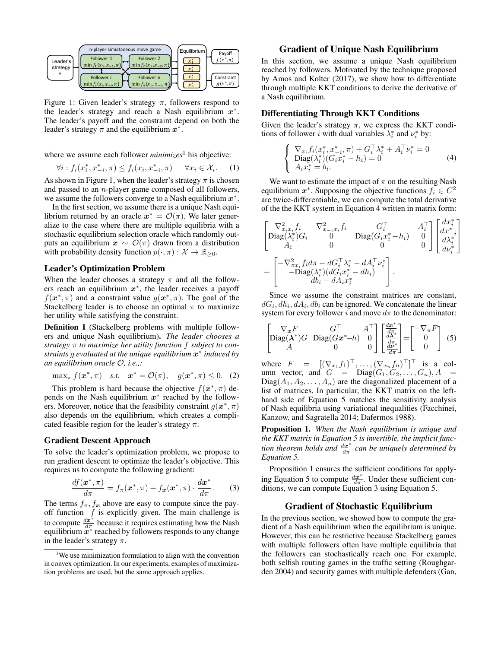

Figure 1: Given leader's strategy  $\pi$ , followers respond to the leader's strategy and reach a Nash equilibrium  $x^*$ . The leader's payoff and the constraint depend on both the leader's strategy  $\pi$  and the equilibrium  $x^*$ .

where we assume each follower *minimizes*<sup>1</sup> his objective:

$$
\forall i: f_i(x_i^*, x_{-i}^*, \pi) \le f_i(x_i, x_{-i}^*, \pi) \quad \forall x_i \in \mathcal{X}_i. \tag{1}
$$

As shown in Figure 1, when the leader's strategy  $\pi$  is chosen and passed to an n-player game composed of all followers, we assume the followers converge to a Nash equilibrium  $x^*$ .

In the first section, we assume there is a unique Nash equilibrium returned by an oracle  $x^* = \mathcal{O}(\pi)$ . We later generalize to the case where there are multiple equilibria with a stochastic equilibrium selection oracle which randomly outputs an equilibrium  $x \sim \mathcal{O}(\pi)$  drawn from a distribution with probability density function  $p(\cdot, \pi) : \mathcal{X} \to \mathbb{R}_{\geq 0}$ .

## Leader's Optimization Problem

When the leader chooses a strategy  $\pi$  and all the followers reach an equilibrium  $x^*$ , the leader receives a payoff  $f(\boldsymbol{x}^*, \pi)$  and a constraint value  $g(\boldsymbol{x}^*, \pi)$ . The goal of the Stackelberg leader is to choose an optimal  $\pi$  to maximize her utility while satisfying the constraint.

Definition 1 (Stackelberg problems with multiple followers and unique Nash equilibrium). *The leader chooses a strategy* π *to maximize her utility function* f *subject to constraints* g *evaluated at the unique equilibrium* x ∗ *induced by an equilibrium oracle* O*, i.e.,:*

$$
\max_{\pi} f(\boldsymbol{x}^*, \pi) \quad \text{s.t.} \quad \boldsymbol{x}^* = \mathcal{O}(\pi), \quad g(\boldsymbol{x}^*, \pi) \leq 0. \tag{2}
$$

This problem is hard because the objective  $f(\mathbf{x}^*, \pi)$  depends on the Nash equilibrium  $x^*$  reached by the followers. Moreover, notice that the feasibility constraint  $g(x^*, \pi)$ also depends on the equilibrium, which creates a complicated feasible region for the leader's strategy  $\pi$ .

## Gradient Descent Approach

To solve the leader's optimization problem, we propose to run gradient descent to optimize the leader's objective. This requires us to compute the following gradient:

$$
\frac{df(\boldsymbol{x}^*,\pi)}{d\pi}=f_{\pi}(\boldsymbol{x}^*,\pi)+f_{\boldsymbol{x}}(\boldsymbol{x}^*,\pi)\cdot\frac{d\boldsymbol{x}^*}{d\pi}.\qquad(3)
$$

The terms  $f_{\pi}$ ,  $f_{\mathbf{x}}$  above are easy to compute since the payoff function  $f$  is explicitly given. The main challenge is to compute  $\frac{dx^*}{d\pi}$  because it requires estimating how the Nash equilibrium  $x^*$  reached by followers responds to any change in the leader's strategy  $\pi$ .

## Gradient of Unique Nash Equilibrium

In this section, we assume a unique Nash equilibrium reached by followers. Motivated by the technique proposed by Amos and Kolter (2017), we show how to differentiate through multiple KKT conditions to derive the derivative of a Nash equilibrium.

## Differentiating Through KKT Conditions

Given the leader's strategy  $\pi$ , we express the KKT conditions of follower *i* with dual variables  $\lambda_i^*$  and  $\nu_i^*$  by:

$$
\begin{cases}\n\nabla_{x_i} f_i(x_i^*, x_{-i}^*, \pi) + G_i^{\top} \lambda_i^* + A_i^{\top} \nu_i^* = 0 \\
\text{Diag}(\lambda_i^*)(G_i x_i^* - h_i) = 0 \\
A_i x_i^* = b_i.\n\end{cases} \tag{4}
$$

We want to estimate the impact of  $\pi$  on the resulting Nash equilibrium  $x^*$ . Supposing the objective functions  $f_i \in C^2$ are twice-differentiable, we can compute the total derivative of the the KKT system in Equation 4 written in matrix form:

$$
\begin{bmatrix}\n\nabla_{x_i x_i}^2 f_i & \nabla_{x_{-i} x_i}^2 f_i & G_i^\top & A_i^\top \\
\text{Diag}(\lambda_i^*) G_i & 0 & \text{Diag}(G_i x_i^* - h_i) & 0 \\
A_i & 0 & 0 & 0 \\
\end{bmatrix}\n\begin{bmatrix}\ndx_i^* \\
dx_{-i}^* \\
d\lambda_i^* \\
d\nu_i^*\n\end{bmatrix}
$$
\n
$$
= \begin{bmatrix}\n-\nabla_{\pi x_i}^2 f_i d\pi - dG_i^\top \lambda_i^* - dA_i^\top \nu_i^* \\
-\text{Diag}(\lambda_i^*)(dG_i x_i^* - d h_i) \\
db_i - dA_i x_i^*\n\end{bmatrix}.
$$

Since we assume the constraint matrices are constant,  $dG_i, dh_i, dA_i, db_i$  can be ignored. We concatenate the linear system for every follower i and move  $d\pi$  to the denominator:

$$
\begin{bmatrix}\n\nabla_{\mathbf{x}}F & G^{\top} & A^{\top} \\
\text{Diag}(\mathbf{\lambda}^{*})G & \text{Diag}(G\mathbf{x}^{*}-h) & 0 \\
A & 0 & 0\n\end{bmatrix}\n\begin{bmatrix}\n\frac{d\mathbf{x}^{*}}{d\pi} \\
\frac{d\mathbf{\lambda}^{*}}{d\pi} \\
\frac{d\mathbf{\mu}^{*}}{d\pi}\n\end{bmatrix} =\n\begin{bmatrix}\n-\nabla_{\pi}F \\
0 \\
0\n\end{bmatrix}
$$
\n(5)

where  $F = [(\nabla_{x_1} f_1)^\top, \dots, (\nabla_{x_n} f_n)^\top]^\top$  is a column vector, and  $G = \text{Diag}(G_1, G_2, \ldots, G_n), A =$  $Diag(A_1, A_2, \ldots, A_n)$  are the diagonalized placement of a list of matrices. In particular, the KKT matrix on the lefthand side of Equation 5 matches the sensitivity analysis of Nash equilibria using variational inequalities (Facchinei, Kanzow, and Sagratella 2014; Dafermos 1988).

Proposition 1. *When the Nash equilibrium is unique and the KKT matrix in Equation 5 is invertible, the implicit func*tion theorem holds and  $\frac{dx^*}{d\pi}$  can be uniquely determined by *Equation 5.*

Proposition 1 ensures the sufficient conditions for applying Equation 5 to compute  $\frac{dx^*}{dx}$ . Under these sufficient conditions, we can compute Equation 3 using Equation 5.

#### Gradient of Stochastic Equilibrium

In the previous section, we showed how to compute the gradient of a Nash equilibrium when the equilibrium is unique. However, this can be restrictive because Stackelberg games with multiple followers often have multiple equilibria that the followers can stochastically reach one. For example, both selfish routing games in the traffic setting (Roughgarden 2004) and security games with multiple defenders (Gan,

<sup>&</sup>lt;sup>1</sup>We use minimization formulation to align with the convention in convex optimization. In our experiments, examples of maximization problems are used, but the same approach applies.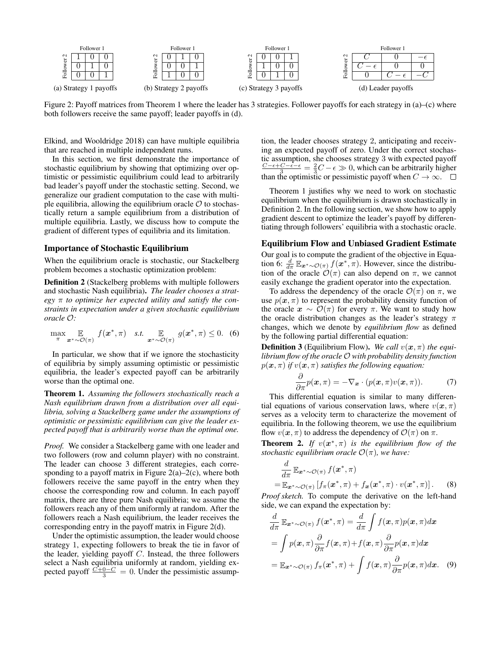

Figure 2: Payoff matrices from Theorem 1 where the leader has 3 strategies. Follower payoffs for each strategy in (a)–(c) where both followers receive the same payoff; leader payoffs in (d).

Elkind, and Wooldridge 2018) can have multiple equilibria that are reached in multiple independent runs.

In this section, we first demonstrate the importance of stochastic equilibrium by showing that optimizing over optimistic or pessimistic equilibrium could lead to arbitrarily bad leader's payoff under the stochastic setting. Second, we generalize our gradient computation to the case with multiple equilibria, allowing the equilibrium oracle  $\mathcal O$  to stochastically return a sample equilibrium from a distribution of multiple equilibria. Lastly, we discuss how to compute the gradient of different types of equilibria and its limitation.

#### Importance of Stochastic Equilibrium

When the equilibrium oracle is stochastic, our Stackelberg problem becomes a stochastic optimization problem:

Definition 2 (Stackelberg problems with multiple followers and stochastic Nash equilibria). *The leader chooses a strategy* π *to optimize her expected utility and satisfy the constraints in expectation under a given stochastic equilibrium oracle* O*:*

$$
\max_{\pi} \mathop{\mathbb{E}}_{\mathbf{x}^* \sim \mathcal{O}(\pi)} f(\mathbf{x}^*, \pi) \quad \text{s.t.} \quad \mathop{\mathbb{E}}_{\mathbf{x}^* \sim \mathcal{O}(\pi)} g(\mathbf{x}^*, \pi) \leq 0. \tag{6}
$$

In particular, we show that if we ignore the stochasticity of equilibria by simply assuming optimistic or pessimistic equilibria, the leader's expected payoff can be arbitrarily worse than the optimal one.

Theorem 1. *Assuming the followers stochastically reach a Nash equilibrium drawn from a distribution over all equilibria, solving a Stackelberg game under the assumptions of optimistic or pessimistic equilibrium can give the leader expected payoff that is arbitrarily worse than the optimal one.*

*Proof.* We consider a Stackelberg game with one leader and two followers (row and column player) with no constraint. The leader can choose 3 different strategies, each corresponding to a payoff matrix in Figure  $2(a)-2(c)$ , where both followers receive the same payoff in the entry when they choose the corresponding row and column. In each payoff matrix, there are three pure Nash equilibria; we assume the followers reach any of them uniformly at random. After the followers reach a Nash equilibrium, the leader receives the corresponding entry in the payoff matrix in Figure 2(d).

Under the optimistic assumption, the leader would choose strategy 1, expecting followers to break the tie in favor of the leader, yielding payoff  $C$ . Instead, the three followers select a Nash equilibria uniformly at random, yielding expected payoff  $\frac{C+0-C}{3} = 0$ . Under the pessimistic assumption, the leader chooses strategy 2, anticipating and receiving an expected payoff of zero. Under the correct stochastic assumption, she chooses strategy 3 with expected payoff  $\frac{C - \epsilon + C - \epsilon - \epsilon}{3} = \frac{2}{3}C - \epsilon \gg 0$ , which can be arbitrarily higher than the optimistic or pessimistic payoff when  $C \to \infty$ .  $\square$ 

Theorem 1 justifies why we need to work on stochastic equilibrium when the equilibrium is drawn stochastically in Definition 2. In the following section, we show how to apply gradient descent to optimize the leader's payoff by differentiating through followers' equilibria with a stochastic oracle.

#### Equilibrium Flow and Unbiased Gradient Estimate

Our goal is to compute the gradient of the objective in Equation 6:  $\frac{d}{d\pi} \mathbb{E}_{\mathbf{x}^* \sim \mathcal{O}(\pi)} f(\mathbf{x}^*, \pi)$ . However, since the distribution of the oracle  $\mathcal{O}(\pi)$  can also depend on  $\pi$ , we cannot easily exchange the gradient operator into the expectation.

To address the dependency of the oracle  $\mathcal{O}(\pi)$  on  $\pi$ , we use  $p(x, \pi)$  to represent the probability density function of the oracle  $x \sim \mathcal{O}(\pi)$  for every  $\pi$ . We want to study how the oracle distribution changes as the leader's strategy  $\pi$ changes, which we denote by *equilibrium flow* as defined by the following partial differential equation:

**Definition 3** (Equilibrium Flow). We call  $v(x, \pi)$  the equi*librium flow of the oracle* O *with probability density function*  $p(\mathbf{x}, \pi)$  *if*  $v(\mathbf{x}, \pi)$  *satisfies the following equation:* 

$$
\frac{\partial}{\partial \pi}p(\boldsymbol{x},\pi) = -\nabla_{\boldsymbol{x}} \cdot (p(\boldsymbol{x},\pi)v(\boldsymbol{x},\pi)). \tag{7}
$$

This differential equation is similar to many differential equations of various conservation laws, where  $v(x, \pi)$ serves as a velocity term to characterize the movement of equilibria. In the following theorem, we use the equilibrium flow  $v(x, \pi)$  to address the dependency of  $\mathcal{O}(\pi)$  on  $\pi$ .

**Theorem 2.** If  $v(x^*, \pi)$  is the equilibrium flow of the *stochastic equilibrium oracle*  $\mathcal{O}(\pi)$ *, we have:* 

$$
\frac{d}{d\pi} \mathbb{E}_{\mathbf{x}^* \sim \mathcal{O}(\pi)} f(\mathbf{x}^*, \pi)
$$
\n
$$
= \mathbb{E}_{\mathbf{x}^* \sim \mathcal{O}(\pi)} [f_\pi(\mathbf{x}^*, \pi) + f_\mathbf{x}(\mathbf{x}^*, \pi) \cdot v(\mathbf{x}^*, \pi)]. \tag{8}
$$

*Proof sketch.* To compute the derivative on the left-hand side, we can expand the expectation by:

$$
\frac{d}{d\pi} \mathbb{E}_{\mathbf{x}^* \sim \mathcal{O}(\pi)} f(\mathbf{x}^*, \pi) = \frac{d}{d\pi} \int f(\mathbf{x}, \pi) p(\mathbf{x}, \pi) d\mathbf{x}
$$
\n
$$
= \int p(\mathbf{x}, \pi) \frac{\partial}{\partial \pi} f(\mathbf{x}, \pi) + f(\mathbf{x}, \pi) \frac{\partial}{\partial \pi} p(\mathbf{x}, \pi) d\mathbf{x}
$$
\n
$$
= \mathbb{E}_{\mathbf{x}^* \sim \mathcal{O}(\pi)} f_\pi(\mathbf{x}^*, \pi) + \int f(\mathbf{x}, \pi) \frac{\partial}{\partial \pi} p(\mathbf{x}, \pi) d\mathbf{x}.
$$
\n(9)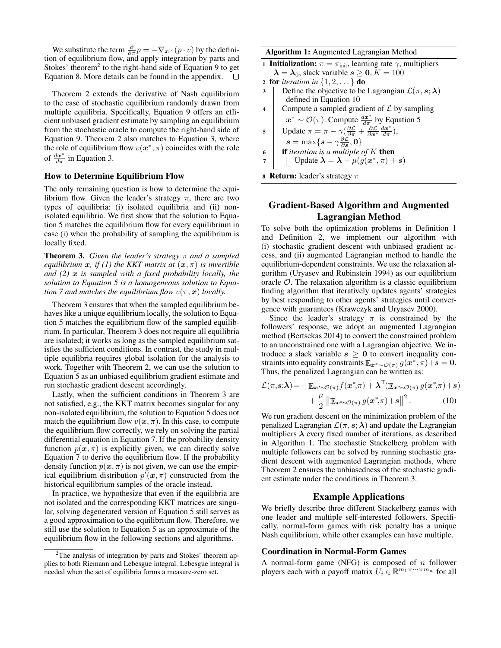We substitute the term  $\frac{\partial}{\partial \pi} p = -\nabla_x \cdot (p \cdot v)$  by the definition of equilibrium flow, and apply integration by parts and Stokes' theorem<sup>2</sup> to the right-hand side of Equation 9 to get Equation 8. More details can be found in the appendix.  $\Box$ 

Theorem 2 extends the derivative of Nash equilibrium to the case of stochastic equilibrium randomly drawn from multiple equilibria. Specifically, Equation 9 offers an efficient unbiased gradient estimate by sampling an equilibrium from the stochastic oracle to compute the right-hand side of Equation 9. Theorem 2 also matches to Equation 3, where the role of equilibrium flow  $v(x^*, \pi)$  coincides with the role of  $\frac{d\boldsymbol{x}^*}{d\pi}$  in Equation 3.

#### How to Determine Equilibrium Flow

The only remaining question is how to determine the equilibrium flow. Given the leader's strategy  $\pi$ , there are two types of equilibria: (i) isolated equilibria and (ii) nonisolated equilibria. We first show that the solution to Equation 5 matches the equilibrium flow for every equilibrium in case (i) when the probability of sampling the equilibrium is locally fixed.

Theorem 3. *Given the leader's strategy* π *and a sampled equilibrium*  $x$ *, if (1) the KKT matrix at*  $(x, \pi)$  *is invertible and (2)* x *is sampled with a fixed probability locally, the solution to Equation 5 is a homogeneous solution to Equation 7 and matches the equilibrium flow*  $v(\pi, x)$  *locally.* 

Theorem 3 ensures that when the sampled equilibrium behaves like a unique equilibrium locally, the solution to Equation 5 matches the equilibrium flow of the sampled equilibrium. In particular, Theorem 3 does not require all equilibria are isolated; it works as long as the sampled equilibrium satisfies the sufficient conditions. In contrast, the study in multiple equilibria requires global isolation for the analysis to work. Together with Theorem 2, we can use the solution to Equation 5 as an unbiased equilibrium gradient estimate and run stochastic gradient descent accordingly.

Lastly, when the sufficient conditions in Theorem 3 are not satisfied, e.g., the KKT matrix becomes singular for any non-isolated equilibrium, the solution to Equation 5 does not match the equilibrium flow  $v(x, \pi)$ . In this case, to compute the equilibrium flow correctly, we rely on solving the partial differential equation in Equation 7. If the probability density function  $p(x, \pi)$  is explicitly given, we can directly solve Equation 7 to derive the equilibrium flow. If the probability density function  $p(x, \pi)$  is not given, we can use the empirical equilibrium distribution  $p'(\mathbf{x}, \pi)$  constructed from the historical equilibrium samples of the oracle instead.

In practice, we hypothesize that even if the equilibria are not isolated and the corresponding KKT matrices are singular, solving degenerated version of Equation 5 still serves as a good approximation to the equilibrium flow. Therefore, we still use the solution to Equation 5 as an approximate of the equilibrium flow in the following sections and algorithms.

Algorithm 1: Augmented Lagrangian Method

1 **Initialization:**  $\pi = \pi_{\text{init}}$ , learning rate  $\gamma$ , multipliers  $\lambda = \lambda_0$ , slack variable  $s \geq 0, K = 100$ 

2 for iteration in 
$$
\{1, 2, \ldots\}
$$
 do

- 3 Define the objective to be Lagrangian  $\mathcal{L}(\pi, s; \lambda)$ defined in Equation 10
- 4 Compute a sampled gradient of  $\mathcal L$  by sampling  $x^* \sim \mathcal{O}(\pi)$ . Compute  $\frac{dx^*}{d\pi}$  by Equation 5

5 
$$
\begin{array}{ll}\n\text{Update } \pi = \pi - \gamma \left( \frac{\partial \mathcal{L}}{\partial \pi} + \frac{\partial \mathcal{L}}{\partial x^*} \frac{dx^*}{dx} \right), \\
\text{s} = \max \{ \boldsymbol{s} - \gamma \frac{\partial \mathcal{L}}{\partial \mathbf{s}}, \mathbf{0} \}\n\end{array}
$$

∂s <sup>6</sup> if *iteration is a multiple of* K then

7 | Update 
$$
\lambda = \lambda - \mu(g(x^*, \pi) + s)
$$

**Return:** leader's strategy 
$$
\pi
$$

## Gradient-Based Algorithm and Augmented Lagrangian Method

To solve both the optimization problems in Definition 1 and Definition 2, we implement our algorithm with (i) stochastic gradient descent with unbiased gradient access, and (ii) augmented Lagrangian method to handle the equilibrium-dependent constraints. We use the relaxation algorithm (Uryasev and Rubinstein 1994) as our equilibrium oracle  $O$ . The relaxation algorithm is a classic equilibrium finding algorithm that iteratively updates agents' strategies by best responding to other agents' strategies until convergence with guarantees (Krawczyk and Uryasev 2000).

Since the leader's strategy  $\pi$  is constrained by the followers' response, we adopt an augmented Lagrangian method (Bertsekas 2014) to convert the constrained problem to an unconstrained one with a Lagrangian objective. We introduce a slack variable  $s \geq 0$  to convert inequality constraints into equality constraints  $\mathbb{E}_{\bm{x}^* \sim \mathcal{O}(\pi)} g(\bm{x}^*, \pi) + \bm{s} = \bm{0}.$ Thus, the penalized Lagrangian can be written as:

$$
\mathcal{L}(\pi, \mathbf{s}; \boldsymbol{\lambda}) = -\mathbb{E}_{\mathbf{x}^* \sim \mathcal{O}(\pi)} f(\mathbf{x}^*, \pi) + \boldsymbol{\lambda}^\top (\mathbb{E}_{\mathbf{x}^* \sim \mathcal{O}(\pi)} g(\mathbf{x}^*, \pi) + \mathbf{s}) + \frac{\mu}{2} \left\| \mathbb{E}_{\mathbf{x}^* \sim \mathcal{O}(\pi)} g(\mathbf{x}^*, \pi) + \mathbf{s} \right\|^2.
$$
 (10)

We run gradient descent on the minimization problem of the penalized Lagrangian  $\mathcal{L}(\pi, s; \lambda)$  and update the Lagrangian multipliers  $\lambda$  every fixed number of iterations, as described in Algorithm 1. The stochastic Stackelberg problem with multiple followers can be solved by running stochastic gradient descent with augmented Lagrangian methods, where Theorem 2 ensures the unbiasedness of the stochastic gradient estimate under the conditions in Theorem 3.

## Example Applications

We briefly describe three different Stackelberg games with one leader and multiple self-interested followers. Specifically, normal-form games with risk penalty has a unique Nash equilibrium, while other examples can have multiple.

#### Coordination in Normal-Form Games

A normal-form game (NFG) is composed of  $n$  follower players each with a payoff matrix  $U_i \in \mathbb{R}^{m_1 \times \cdots \times m_n}$  for all

 $2$ The analysis of integration by parts and Stokes' theorem applies to both Riemann and Lebesgue integral. Lebesgue integral is needed when the set of equilibria forms a measure-zero set.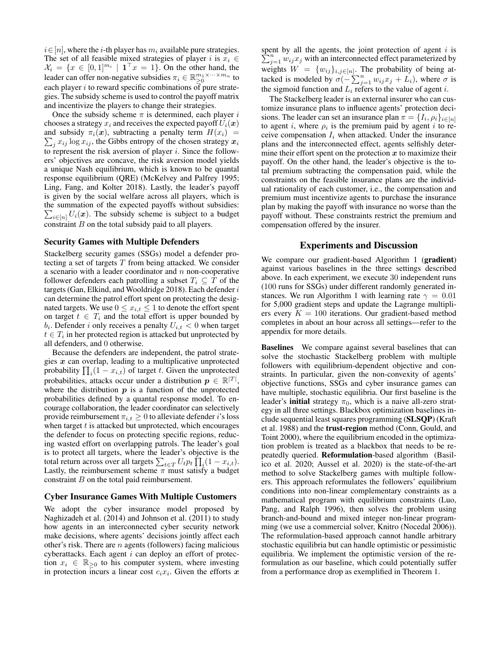$i \in [n]$ , where the i-th player has  $m_i$  available pure strategies. The set of all feasible mixed strategies of player i is  $x_i \in$  $\mathcal{X}_i = \{x \in [0,1]^{m_i} \mid \mathbf{1}^\top x = 1\}.$  On the other hand, the leader can offer non-negative subsidies  $\pi_i \in \mathbb{R}_{\geq 0}^{m_1 \times \cdots \times m_n}$  to each player  $i$  to reward specific combinations of pure strategies. The subsidy scheme is used to control the payoff matrix and incentivize the players to change their strategies.

Once the subsidy scheme  $\pi$  is determined, each player i chooses a strategy  $x_i$  and receives the expected payoff  $U_i(\boldsymbol{x})$  $\sum_j x_{ij} \log x_{ij}$ , the Gibbs entropy of the chosen strategy  $x_i$ and subsidy  $\pi_i(x)$ , subtracting a penalty term  $H(x_i)$  = to represent the risk aversion of player  $i$ . Since the followers' objectives are concave, the risk aversion model yields a unique Nash equilibrium, which is known to be quantal response equilibrium (QRE) (McKelvey and Palfrey 1995; Ling, Fang, and Kolter 2018). Lastly, the leader's payoff is given by the social welfare across all players, which is the summation of the expected payoffs without subsidies:  $\sum_{i \in [n]} U_i(x)$ . The subsidy scheme is subject to a budget constraint  $B$  on the total subsidy paid to all players.

## Security Games with Multiple Defenders

Stackelberg security games (SSGs) model a defender protecting a set of targets  $T$  from being attacked. We consider a scenario with a leader coordinator and  $n$  non-cooperative follower defenders each patrolling a subset  $T_i \subseteq T$  of the targets (Gan, Elkind, and Wooldridge 2018). Each defender  $i$ can determine the patrol effort spent on protecting the designated targets. We use  $0 \le x_{i,t} \le 1$  to denote the effort spent on target  $t \in T_i$  and the total effort is upper bounded by  $b_i$ . Defender i only receives a penalty  $U_{i,t} < 0$  when target  $t \in T_i$  in her protected region is attacked but unprotected by all defenders, and 0 otherwise.

Because the defenders are independent, the patrol strategies  $x$  can overlap, leading to a multiplicative unprotected probability  $\prod_i(1 - x_{i,t})$  of target t. Given the unprotected probabilities, attacks occur under a distribution  $p \in \mathbb{R}^{|T|}$ , where the distribution  $p$  is a function of the unprotected probabilities defined by a quantal response model. To encourage collaboration, the leader coordinator can selectively provide reimbursement  $\pi_{i,t} \geq 0$  to alleviate defender *i*'s loss when target  $t$  is attacked but unprotected, which encourages the defender to focus on protecting specific regions, reducing wasted effort on overlapping patrols. The leader's goal is to protect all targets, where the leader's objective is the total return across over all targets  $\sum_{t \in T} U_t p_t \prod_i (1 - x_{i,t}).$ Lastly, the reimbursement scheme  $\pi$  must satisfy a budget constraint B on the total paid reimbursement.

#### Cyber Insurance Games With Multiple Customers

We adopt the cyber insurance model proposed by Naghizadeh et al. (2014) and Johnson et al. (2011) to study how agents in an interconnected cyber security network make decisions, where agents' decisions jointly affect each other's risk. There are  $n$  agents (followers) facing malicious cyberattacks. Each agent  $i$  can deploy an effort of protection  $x_i \in \mathbb{R}_{\geq 0}$  to his computer system, where investing in protection incurs a linear cost  $c_i x_i$ . Given the efforts x

spent by all the agents, the joint protection of agent  $i$  is  $\sum_{j=1}^{n} w_{ij} x_j$  with an interconnected effect parameterized by weights  $W = \{w_{ij}\}_{i,j \in [n]}$ . The probability of being attacked is modeled by  $\sigma(-\sum_{j=1}^n w_{ij}x_j + L_i)$ , where  $\sigma$  is the sigmoid function and  $L_i$  refers to the value of agent i.

The Stackelberg leader is an external insurer who can customize insurance plans to influence agents' protection decisions. The leader can set an insurance plan  $\pi = \{I_i, \rho_i\}_{i \in [n]}$ to agent *i*, where  $\rho_i$  is the premium paid by agent *i* to receive compensation  $I_i$  when attacked. Under the insurance plans and the interconnected effect, agents selfishly determine their effort spent on the protection  $x$  to maximize their payoff. On the other hand, the leader's objective is the total premium subtracting the compensation paid, while the constraints on the feasible insurance plans are the individual rationality of each customer, i.e., the compensation and premium must incentivize agents to purchase the insurance plan by making the payoff with insurance no worse than the payoff without. These constraints restrict the premium and compensation offered by the insurer.

## Experiments and Discussion

We compare our gradient-based Algorithm 1 (gradient) against various baselines in the three settings described above. In each experiment, we execute 30 independent runs (100 runs for SSGs) under different randomly generated instances. We run Algorithm 1 with learning rate  $\gamma = 0.01$ for 5,000 gradient steps and update the Lagrange multipliers every  $K = 100$  iterations. Our gradient-based method completes in about an hour across all settings—refer to the appendix for more details.

Baselines We compare against several baselines that can solve the stochastic Stackelberg problem with multiple followers with equilibrium-dependent objective and constraints. In particular, given the non-convexity of agents' objective functions, SSGs and cyber insurance games can have multiple, stochastic equilibria. Our first baseline is the leader's **initial** strategy  $\pi_0$ , which is a naive all-zero strategy in all three settings. Blackbox optimization baselines include sequential least squares programming (SLSQP) (Kraft et al. 1988) and the trust-region method (Conn, Gould, and Toint 2000), where the equilibrium encoded in the optimization problem is treated as a blackbox that needs to be repeatedly queried. Reformulation-based algorithm (Basilico et al. 2020; Aussel et al. 2020) is the state-of-the-art method to solve Stackelberg games with multiple followers. This approach reformulates the followers' equilibrium conditions into non-linear complementary constraints as a mathematical program with equilibrium constraints (Luo, Pang, and Ralph 1996), then solves the problem using branch-and-bound and mixed integer non-linear programming (we use a commercial solver, Knitro (Nocedal 2006)). The reformulation-based approach cannot handle arbitrary stochastic equilibria but can handle optimistic or pessimistic equilibria. We implement the optimistic version of the reformulation as our baseline, which could potentially suffer from a performance drop as exemplified in Theorem 1.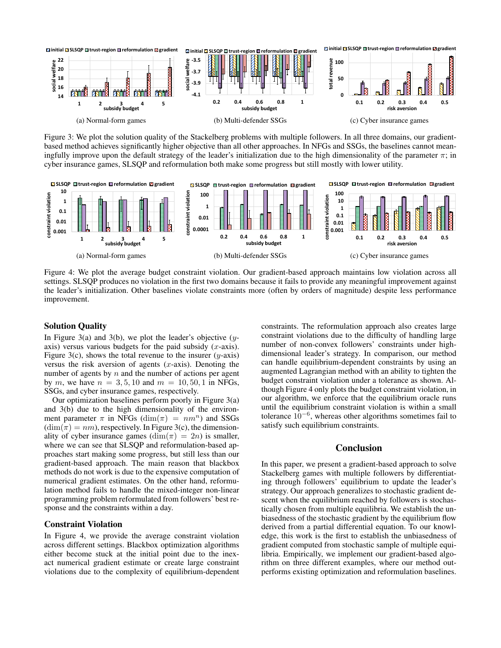

Figure 3: We plot the solution quality of the Stackelberg problems with multiple followers. In all three domains, our gradientbased method achieves significantly higher objective than all other approaches. In NFGs and SSGs, the baselines cannot meaningfully improve upon the default strategy of the leader's initialization due to the high dimensionality of the parameter  $\pi$ ; in cyber insurance games, SLSQP and reformulation both make some progress but still mostly with lower utility.



Figure 4: We plot the average budget constraint violation. Our gradient-based approach maintains low violation across all settings. SLSQP produces no violation in the first two domains because it fails to provide any meaningful improvement against the leader's initialization. Other baselines violate constraints more (often by orders of magnitude) despite less performance improvement.

## Solution Quality

In Figure 3(a) and 3(b), we plot the leader's objective  $(y$ axis) versus various budgets for the paid subsidy  $(x\text{-axis})$ . Figure 3(c), shows the total revenue to the insurer  $(y\text{-axis})$ versus the risk aversion of agents  $(x\text{-axis})$ . Denoting the number of agents by  $n$  and the number of actions per agent by m, we have  $n = 3, 5, 10$  and  $m = 10, 50, 1$  in NFGs, SSGs, and cyber insurance games, respectively.

Our optimization baselines perform poorly in Figure 3(a) and 3(b) due to the high dimensionality of the environment parameter  $\pi$  in NFGs (dim $(\pi) = nm^n$ ) and SSGs  $(\dim(\pi) = nm)$ , respectively. In Figure 3(c), the dimensionality of cyber insurance games  $(\dim(\pi) = 2n)$  is smaller, where we can see that SLSQP and reformulation-based approaches start making some progress, but still less than our gradient-based approach. The main reason that blackbox methods do not work is due to the expensive computation of numerical gradient estimates. On the other hand, reformulation method fails to handle the mixed-integer non-linear programming problem reformulated from followers' best response and the constraints within a day.

## Constraint Violation

In Figure 4, we provide the average constraint violation across different settings. Blackbox optimization algorithms either become stuck at the initial point due to the inexact numerical gradient estimate or create large constraint violations due to the complexity of equilibrium-dependent constraints. The reformulation approach also creates large constraint violations due to the difficulty of handling large number of non-convex followers' constraints under highdimensional leader's strategy. In comparison, our method can handle equilibrium-dependent constraints by using an augmented Lagrangian method with an ability to tighten the budget constraint violation under a tolerance as shown. Although Figure 4 only plots the budget constraint violation, in our algorithm, we enforce that the equilibrium oracle runs until the equilibrium constraint violation is within a small tolerance  $10^{-6}$ , whereas other algorithms sometimes fail to satisfy such equilibrium constraints.

## Conclusion

In this paper, we present a gradient-based approach to solve Stackelberg games with multiple followers by differentiating through followers' equilibrium to update the leader's strategy. Our approach generalizes to stochastic gradient descent when the equilibrium reached by followers is stochastically chosen from multiple equilibria. We establish the unbiasedness of the stochastic gradient by the equilibrium flow derived from a partial differential equation. To our knowledge, this work is the first to establish the unbiasedness of gradient computed from stochastic sample of multiple equilibria. Empirically, we implement our gradient-based algorithm on three different examples, where our method outperforms existing optimization and reformulation baselines.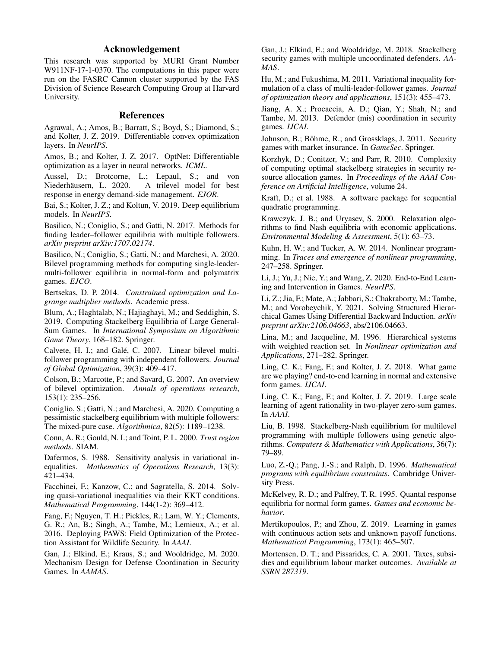## Acknowledgement

This research was supported by MURI Grant Number W911NF-17-1-0370. The computations in this paper were run on the FASRC Cannon cluster supported by the FAS Division of Science Research Computing Group at Harvard University.

## References

Agrawal, A.; Amos, B.; Barratt, S.; Boyd, S.; Diamond, S.; and Kolter, J. Z. 2019. Differentiable convex optimization layers. In *NeurIPS*.

Amos, B.; and Kolter, J. Z. 2017. OptNet: Differentiable optimization as a layer in neural networks. *ICML*.

Aussel, D.; Brotcorne, L.; Lepaul, S.; and von<br>Niederhäusern, L. 2020. A trilevel model for best A trilevel model for best response in energy demand-side management. *EJOR*.

Bai, S.; Kolter, J. Z.; and Koltun, V. 2019. Deep equilibrium models. In *NeurIPS*.

Basilico, N.; Coniglio, S.; and Gatti, N. 2017. Methods for finding leader–follower equilibria with multiple followers. *arXiv preprint arXiv:1707.02174*.

Basilico, N.; Coniglio, S.; Gatti, N.; and Marchesi, A. 2020. Bilevel programming methods for computing single-leadermulti-follower equilibria in normal-form and polymatrix games. *EJCO*.

Bertsekas, D. P. 2014. *Constrained optimization and Lagrange multiplier methods*. Academic press.

Blum, A.; Haghtalab, N.; Hajiaghayi, M.; and Seddighin, S. 2019. Computing Stackelberg Equilibria of Large General-Sum Games. In *International Symposium on Algorithmic Game Theory*, 168–182. Springer.

Calvete, H. I.; and Galé, C. 2007. Linear bilevel multifollower programming with independent followers. *Journal of Global Optimization*, 39(3): 409–417.

Colson, B.; Marcotte, P.; and Savard, G. 2007. An overview of bilevel optimization. *Annals of operations research*, 153(1): 235–256.

Coniglio, S.; Gatti, N.; and Marchesi, A. 2020. Computing a pessimistic stackelberg equilibrium with multiple followers: The mixed-pure case. *Algorithmica*, 82(5): 1189–1238.

Conn, A. R.; Gould, N. I.; and Toint, P. L. 2000. *Trust region methods*. SIAM.

Dafermos, S. 1988. Sensitivity analysis in variational inequalities. *Mathematics of Operations Research*, 13(3): 421–434.

Facchinei, F.; Kanzow, C.; and Sagratella, S. 2014. Solving quasi-variational inequalities via their KKT conditions. *Mathematical Programming*, 144(1-2): 369–412.

Fang, F.; Nguyen, T. H.; Pickles, R.; Lam, W. Y.; Clements, G. R.; An, B.; Singh, A.; Tambe, M.; Lemieux, A.; et al. 2016. Deploying PAWS: Field Optimization of the Protection Assistant for Wildlife Security. In *AAAI*.

Gan, J.; Elkind, E.; Kraus, S.; and Wooldridge, M. 2020. Mechanism Design for Defense Coordination in Security Games. In *AAMAS*.

Gan, J.; Elkind, E.; and Wooldridge, M. 2018. Stackelberg security games with multiple uncoordinated defenders. *AA-MAS*.

Hu, M.; and Fukushima, M. 2011. Variational inequality formulation of a class of multi-leader-follower games. *Journal of optimization theory and applications*, 151(3): 455–473.

Jiang, A. X.; Procaccia, A. D.; Qian, Y.; Shah, N.; and Tambe, M. 2013. Defender (mis) coordination in security games. *IJCAI*.

Johnson, B.; Böhme, R.; and Grossklags, J. 2011. Security games with market insurance. In *GameSec*. Springer.

Korzhyk, D.; Conitzer, V.; and Parr, R. 2010. Complexity of computing optimal stackelberg strategies in security resource allocation games. In *Proceedings of the AAAI Conference on Artificial Intelligence*, volume 24.

Kraft, D.; et al. 1988. A software package for sequential quadratic programming.

Krawczyk, J. B.; and Uryasev, S. 2000. Relaxation algorithms to find Nash equilibria with economic applications. *Environmental Modeling & Assessment*, 5(1): 63–73.

Kuhn, H. W.; and Tucker, A. W. 2014. Nonlinear programming. In *Traces and emergence of nonlinear programming*, 247–258. Springer.

Li, J.; Yu, J.; Nie, Y.; and Wang, Z. 2020. End-to-End Learning and Intervention in Games. *NeurIPS*.

Li, Z.; Jia, F.; Mate, A.; Jabbari, S.; Chakraborty, M.; Tambe, M.; and Vorobeychik, Y. 2021. Solving Structured Hierarchical Games Using Differential Backward Induction. *arXiv preprint arXiv:2106.04663*, abs/2106.04663.

Lina, M.; and Jacqueline, M. 1996. Hierarchical systems with weighted reaction set. In *Nonlinear optimization and Applications*, 271–282. Springer.

Ling, C. K.; Fang, F.; and Kolter, J. Z. 2018. What game are we playing? end-to-end learning in normal and extensive form games. *IJCAI*.

Ling, C. K.; Fang, F.; and Kolter, J. Z. 2019. Large scale learning of agent rationality in two-player zero-sum games. In *AAAI*.

Liu, B. 1998. Stackelberg-Nash equilibrium for multilevel programming with multiple followers using genetic algorithms. *Computers & Mathematics with Applications*, 36(7): 79–89.

Luo, Z.-Q.; Pang, J.-S.; and Ralph, D. 1996. *Mathematical programs with equilibrium constraints*. Cambridge University Press.

McKelvey, R. D.; and Palfrey, T. R. 1995. Quantal response equilibria for normal form games. *Games and economic behavior*.

Mertikopoulos, P.; and Zhou, Z. 2019. Learning in games with continuous action sets and unknown payoff functions. *Mathematical Programming*, 173(1): 465–507.

Mortensen, D. T.; and Pissarides, C. A. 2001. Taxes, subsidies and equilibrium labour market outcomes. *Available at SSRN 287319*.